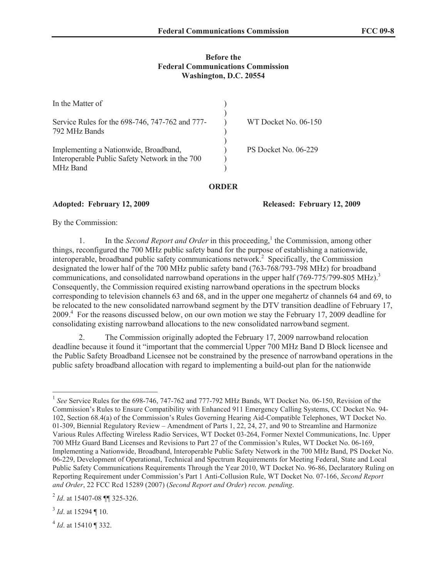## **Before the Federal Communications Commission Washington, D.C. 20554**

| In the Matter of                                                                                    |                      |
|-----------------------------------------------------------------------------------------------------|----------------------|
| Service Rules for the 698-746, 747-762 and 777-<br>792 MHz Bands                                    | WT Docket No. 06-150 |
| Implementing a Nationwide, Broadband,<br>Interoperable Public Safety Network in the 700<br>MHz Band | PS Docket No. 06-229 |

## **ORDER**

**Adopted: February 12, 2009 Released: February 12, 2009**

By the Commission:

1. In the *Second Report and Order* in this proceeding,<sup>1</sup> the Commission, among other things, reconfigured the 700 MHz public safety band for the purpose of establishing a nationwide, interoperable, broadband public safety communications network.<sup>2</sup> Specifically, the Commission designated the lower half of the 700 MHz public safety band (763-768/793-798 MHz) for broadband communications, and consolidated narrowband operations in the upper half  $(769-775/799-805 \text{ MHz})^3$ Consequently, the Commission required existing narrowband operations in the spectrum blocks corresponding to television channels 63 and 68, and in the upper one megahertz of channels 64 and 69, to be relocated to the new consolidated narrowband segment by the DTV transition deadline of February 17, 2009.<sup>4</sup> For the reasons discussed below, on our own motion we stay the February 17, 2009 deadline for consolidating existing narrowband allocations to the new consolidated narrowband segment.

2. The Commission originally adopted the February 17, 2009 narrowband relocation deadline because it found it "important that the commercial Upper 700 MHz Band D Block licensee and the Public Safety Broadband Licensee not be constrained by the presence of narrowband operations in the public safety broadband allocation with regard to implementing a build-out plan for the nationwide

4 *Id*. at 15410 ¶ 332.

<sup>&</sup>lt;sup>1</sup> See Service Rules for the 698-746, 747-762 and 777-792 MHz Bands, WT Docket No. 06-150, Revision of the Commission's Rules to Ensure Compatibility with Enhanced 911 Emergency Calling Systems, CC Docket No. 94- 102, Section 68.4(a) of the Commission's Rules Governing Hearing Aid-Compatible Telephones, WT Docket No. 01-309, Biennial Regulatory Review – Amendment of Parts 1, 22, 24, 27, and 90 to Streamline and Harmonize Various Rules Affecting Wireless Radio Services, WT Docket 03-264, Former Nextel Communications, Inc. Upper 700 MHz Guard Band Licenses and Revisions to Part 27 of the Commission's Rules, WT Docket No. 06-169, Implementing a Nationwide, Broadband, Interoperable Public Safety Network in the 700 MHz Band, PS Docket No. 06-229, Development of Operational, Technical and Spectrum Requirements for Meeting Federal, State and Local Public Safety Communications Requirements Through the Year 2010, WT Docket No. 96-86, Declaratory Ruling on Reporting Requirement under Commission's Part 1 Anti-Collusion Rule, WT Docket No. 07-166, *Second Report and Order*, 22 FCC Rcd 15289 (2007) (*Second Report and Order*) *recon. pending*.

<sup>&</sup>lt;sup>2</sup> *Id.* at 15407-08 ¶¶ 325-326.

<sup>3</sup> *Id*. at 15294 ¶ 10.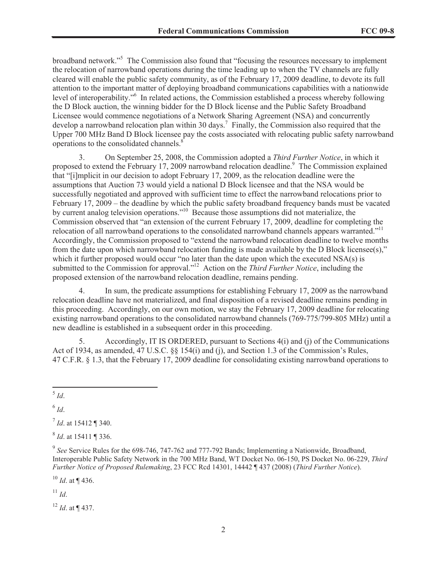broadband network."<sup>5</sup> The Commission also found that "focusing the resources necessary to implement the relocation of narrowband operations during the time leading up to when the TV channels are fully cleared will enable the public safety community, as of the February 17, 2009 deadline, to devote its full attention to the important matter of deploying broadband communications capabilities with a nationwide level of interoperability."<sup>6</sup> In related actions, the Commission established a process whereby following the D Block auction, the winning bidder for the D Block license and the Public Safety Broadband Licensee would commence negotiations of a Network Sharing Agreement (NSA) and concurrently develop a narrowband relocation plan within 30 days.<sup>7</sup> Finally, the Commission also required that the Upper 700 MHz Band D Block licensee pay the costs associated with relocating public safety narrowband operations to the consolidated channels.<sup>8</sup>

3. On September 25, 2008, the Commission adopted a *Third Further Notice*, in which it proposed to extend the February 17, 2009 narrowband relocation deadline.<sup>9</sup> The Commission explained that "[i]mplicit in our decision to adopt February 17, 2009, as the relocation deadline were the assumptions that Auction 73 would yield a national D Block licensee and that the NSA would be successfully negotiated and approved with sufficient time to effect the narrowband relocations prior to February 17, 2009 – the deadline by which the public safety broadband frequency bands must be vacated by current analog television operations."<sup>10</sup> Because those assumptions did not materialize, the Commission observed that "an extension of the current February 17, 2009, deadline for completing the relocation of all narrowband operations to the consolidated narrowband channels appears warranted."<sup>11</sup> Accordingly, the Commission proposed to "extend the narrowband relocation deadline to twelve months from the date upon which narrowband relocation funding is made available by the D Block licensee(s)," which it further proposed would occur "no later than the date upon which the executed NSA(s) is submitted to the Commission for approval."<sup>12</sup> Action on the *Third Further Notice*, including the proposed extension of the narrowband relocation deadline, remains pending.

4. In sum, the predicate assumptions for establishing February 17, 2009 as the narrowband relocation deadline have not materialized, and final disposition of a revised deadline remains pending in this proceeding. Accordingly, on our own motion, we stay the February 17, 2009 deadline for relocating existing narrowband operations to the consolidated narrowband channels (769-775/799-805 MHz) until a new deadline is established in a subsequent order in this proceeding.

5. Accordingly, IT IS ORDERED, pursuant to Sections 4(i) and (j) of the Communications Act of 1934, as amended, 47 U.S.C. §§ 154(i) and (j), and Section 1.3 of the Commission's Rules, 47 C.F.R. § 1.3, that the February 17, 2009 deadline for consolidating existing narrowband operations to

6 *Id*.

7 *Id*. at 15412 ¶ 340.

8 *Id*. at 15411 ¶ 336.

<sup>9</sup> See Service Rules for the 698-746, 747-762 and 777-792 Bands; Implementing a Nationwide, Broadband, Interoperable Public Safety Network in the 700 MHz Band, WT Docket No. 06-150, PS Docket No. 06-229, *Third Further Notice of Proposed Rulemaking*, 23 FCC Rcd 14301, 14442 ¶ 437 (2008) (*Third Further Notice*).

 $^{10}$  *Id.* at ¶ 436.

<sup>11</sup> *Id*.

<sup>12</sup> *Id*. at ¶ 437.

<sup>5</sup> *Id*.